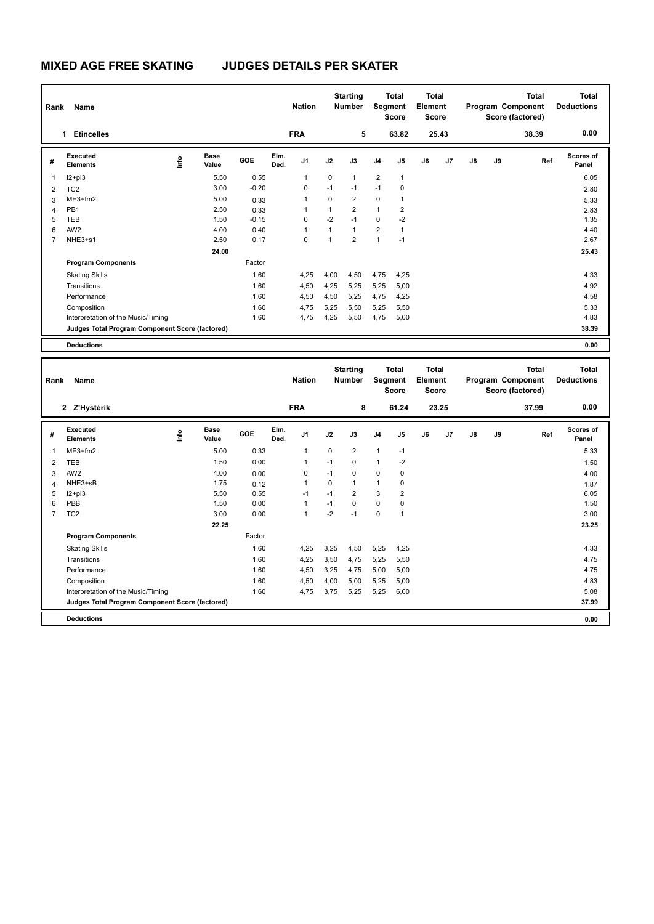| Rank | Name                                            |      |                      |            |              | <b>Nation</b>  |              | <b>Starting</b><br><b>Number</b> |                | <b>Total</b><br>Segment<br><b>Score</b> | <b>Total</b><br>Element<br><b>Score</b> |       |               |    | <b>Total</b><br>Program Component<br>Score (factored) | Total<br><b>Deductions</b> |
|------|-------------------------------------------------|------|----------------------|------------|--------------|----------------|--------------|----------------------------------|----------------|-----------------------------------------|-----------------------------------------|-------|---------------|----|-------------------------------------------------------|----------------------------|
|      | <b>Etincelles</b><br>1.                         |      |                      |            |              | <b>FRA</b>     |              | 5                                |                | 63.82                                   |                                         | 25.43 |               |    | 38.39                                                 | 0.00                       |
| #    | Executed<br><b>Elements</b>                     | lnfo | <b>Base</b><br>Value | <b>GOE</b> | Elm.<br>Ded. | J <sub>1</sub> | J2           | J3                               | J <sub>4</sub> | J5                                      | J6                                      | J7    | $\mathsf{J}8$ | J9 | Ref                                                   | <b>Scores of</b><br>Panel  |
| 1    | $12 + pi3$                                      |      | 5.50                 | 0.55       |              | $\overline{1}$ | 0            | 1                                | $\overline{2}$ | $\mathbf{1}$                            |                                         |       |               |    |                                                       | 6.05                       |
| 2    | TC <sub>2</sub>                                 |      | 3.00                 | $-0.20$    |              | $\Omega$       | $-1$         | $-1$                             | $-1$           | 0                                       |                                         |       |               |    |                                                       | 2.80                       |
| 3    | $ME3+fm2$                                       |      | 5.00                 | 0.33       |              | $\overline{1}$ | 0            | $\overline{2}$                   | $\mathbf 0$    | 1                                       |                                         |       |               |    |                                                       | 5.33                       |
| 4    | PB <sub>1</sub>                                 |      | 2.50                 | 0.33       |              | 1              | $\mathbf{1}$ | $\overline{2}$                   | $\mathbf{1}$   | $\overline{2}$                          |                                         |       |               |    |                                                       | 2.83                       |
| 5    | <b>TEB</b>                                      |      | 1.50                 | $-0.15$    |              | $\mathbf 0$    | $-2$         | $-1$                             | $\mathbf 0$    | $-2$                                    |                                         |       |               |    |                                                       | 1.35                       |
| 6    | AW <sub>2</sub>                                 |      | 4.00                 | 0.40       |              | 1              | $\mathbf{1}$ | $\mathbf{1}$                     | $\overline{2}$ | $\overline{1}$                          |                                         |       |               |    |                                                       | 4.40                       |
| 7    | NHE3+s1                                         |      | 2.50                 | 0.17       |              | $\mathbf 0$    | 1            | $\overline{2}$                   | $\mathbf{1}$   | $-1$                                    |                                         |       |               |    |                                                       | 2.67                       |
|      |                                                 |      | 24.00                |            |              |                |              |                                  |                |                                         |                                         |       |               |    |                                                       | 25.43                      |
|      | <b>Program Components</b>                       |      |                      | Factor     |              |                |              |                                  |                |                                         |                                         |       |               |    |                                                       |                            |
|      | <b>Skating Skills</b>                           |      |                      | 1.60       |              | 4,25           | 4,00         | 4,50                             | 4,75           | 4,25                                    |                                         |       |               |    |                                                       | 4.33                       |
|      | Transitions                                     |      |                      | 1.60       |              | 4,50           | 4,25         | 5,25                             | 5,25           | 5,00                                    |                                         |       |               |    |                                                       | 4.92                       |
|      | Performance                                     |      |                      | 1.60       |              | 4,50           | 4,50         | 5,25                             | 4,75           | 4,25                                    |                                         |       |               |    |                                                       | 4.58                       |
|      | Composition                                     |      |                      | 1.60       |              | 4,75           | 5,25         | 5,50                             | 5,25           | 5,50                                    |                                         |       |               |    |                                                       | 5.33                       |
|      | Interpretation of the Music/Timing              |      |                      | 1.60       |              | 4,75           | 4,25         | 5,50                             | 4,75           | 5,00                                    |                                         |       |               |    |                                                       | 4.83                       |
|      | Judges Total Program Component Score (factored) |      |                      |            |              |                |              |                                  |                |                                         |                                         |       |               |    |                                                       | 38.39                      |
|      | <b>Deductions</b>                               |      |                      |            |              |                |              |                                  |                |                                         |                                         |       |               |    |                                                       | 0.00                       |

| Rank           | Name                                            |      |                      |        |              | <b>Nation</b>  |          | <b>Starting</b><br><b>Number</b> | Segment        | <b>Total</b><br><b>Score</b> | <b>Total</b><br>Element<br><b>Score</b> |                |    |    | <b>Total</b><br>Program Component<br>Score (factored) | <b>Total</b><br><b>Deductions</b> |
|----------------|-------------------------------------------------|------|----------------------|--------|--------------|----------------|----------|----------------------------------|----------------|------------------------------|-----------------------------------------|----------------|----|----|-------------------------------------------------------|-----------------------------------|
|                | 2 Z'Hystérik                                    |      |                      |        |              | <b>FRA</b>     |          | 8                                |                | 61.24                        |                                         | 23.25          |    |    | 37.99                                                 | 0.00                              |
| #              | Executed<br><b>Elements</b>                     | ١nf٥ | <b>Base</b><br>Value | GOE    | Elm.<br>Ded. | J <sub>1</sub> | J2       | J3                               | J <sub>4</sub> | J <sub>5</sub>               | J6                                      | J <sub>7</sub> | J8 | J9 | Ref                                                   | <b>Scores of</b><br>Panel         |
| $\mathbf{1}$   | $ME3+fm2$                                       |      | 5.00                 | 0.33   |              | $\mathbf{1}$   | $\Omega$ | $\overline{2}$                   | $\mathbf{1}$   | $-1$                         |                                         |                |    |    |                                                       | 5.33                              |
| $\overline{2}$ | <b>TEB</b>                                      |      | 1.50                 | 0.00   |              | $\overline{1}$ | $-1$     | $\Omega$                         | $\mathbf{1}$   | $-2$                         |                                         |                |    |    |                                                       | 1.50                              |
| 3              | AW <sub>2</sub>                                 |      | 4.00                 | 0.00   |              | 0              | $-1$     | 0                                | 0              | 0                            |                                         |                |    |    |                                                       | 4.00                              |
| 4              | NHE3+sB                                         |      | 1.75                 | 0.12   |              | $\overline{1}$ | 0        | 1                                | $\mathbf{1}$   | 0                            |                                         |                |    |    |                                                       | 1.87                              |
| 5              | I2+pi3                                          |      | 5.50                 | 0.55   |              | $-1$           | $-1$     | $\overline{2}$                   | 3              | 2                            |                                         |                |    |    |                                                       | 6.05                              |
| 6              | PBB                                             |      | 1.50                 | 0.00   |              | $\overline{1}$ | $-1$     | $\Omega$                         | $\Omega$       | 0                            |                                         |                |    |    |                                                       | 1.50                              |
| $\overline{7}$ | TC <sub>2</sub>                                 |      | 3.00                 | 0.00   |              | $\overline{1}$ | $-2$     | $-1$                             | $\mathbf 0$    | $\overline{1}$               |                                         |                |    |    |                                                       | 3.00                              |
|                |                                                 |      | 22.25                |        |              |                |          |                                  |                |                              |                                         |                |    |    |                                                       | 23.25                             |
|                | <b>Program Components</b>                       |      |                      | Factor |              |                |          |                                  |                |                              |                                         |                |    |    |                                                       |                                   |
|                | <b>Skating Skills</b>                           |      |                      | 1.60   |              | 4,25           | 3,25     | 4,50                             | 5,25           | 4,25                         |                                         |                |    |    |                                                       | 4.33                              |
|                | Transitions                                     |      |                      | 1.60   |              | 4,25           | 3,50     | 4,75                             | 5,25           | 5,50                         |                                         |                |    |    |                                                       | 4.75                              |
|                | Performance                                     |      |                      | 1.60   |              | 4,50           | 3,25     | 4,75                             | 5,00           | 5,00                         |                                         |                |    |    |                                                       | 4.75                              |
|                | Composition                                     |      |                      | 1.60   |              | 4,50           | 4,00     | 5,00                             | 5,25           | 5,00                         |                                         |                |    |    |                                                       | 4.83                              |
|                | Interpretation of the Music/Timing              |      |                      | 1.60   |              | 4,75           | 3,75     | 5,25                             | 5,25           | 6,00                         |                                         |                |    |    |                                                       | 5.08                              |
|                | Judges Total Program Component Score (factored) |      |                      |        |              |                |          |                                  |                |                              |                                         |                |    |    |                                                       | 37.99                             |
|                | <b>Deductions</b>                               |      |                      |        |              |                |          |                                  |                |                              |                                         |                |    |    |                                                       | 0.00                              |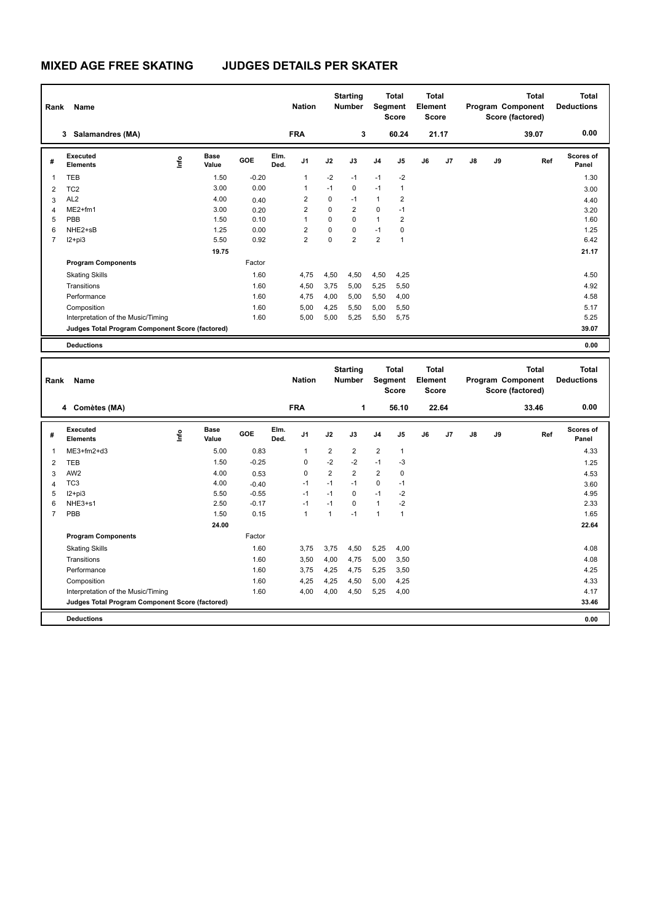| Rank | Name                                            |      |                      |         |              | <b>Nation</b>  |             | <b>Starting</b><br><b>Number</b> |                | <b>Total</b><br>Segment<br><b>Score</b> | <b>Total</b><br>Element<br><b>Score</b> |                |    |    | Total<br>Program Component<br>Score (factored) | Total<br><b>Deductions</b> |  |
|------|-------------------------------------------------|------|----------------------|---------|--------------|----------------|-------------|----------------------------------|----------------|-----------------------------------------|-----------------------------------------|----------------|----|----|------------------------------------------------|----------------------------|--|
|      | Salamandres (MA)<br>3                           |      |                      |         |              | <b>FRA</b>     |             | 3                                |                | 60.24                                   |                                         | 21.17          |    |    | 39.07                                          | 0.00                       |  |
| #    | <b>Executed</b><br><b>Elements</b>              | lnfo | <b>Base</b><br>Value | GOE     | Elm.<br>Ded. | J <sub>1</sub> | J2          | J3                               | J <sub>4</sub> | J <sub>5</sub>                          | J6                                      | J <sub>7</sub> | J8 | J9 | Ref                                            | <b>Scores of</b><br>Panel  |  |
| 1    | <b>TEB</b>                                      |      | 1.50                 | $-0.20$ |              | $\overline{1}$ | $-2$        | $-1$                             | $-1$           | $-2$                                    |                                         |                |    |    |                                                | 1.30                       |  |
| 2    | TC <sub>2</sub>                                 |      | 3.00                 | 0.00    |              | $\overline{1}$ | $-1$        | $\Omega$                         | $-1$           | $\overline{1}$                          |                                         |                |    |    |                                                | 3.00                       |  |
| 3    | AL <sub>2</sub>                                 |      | 4.00                 | 0.40    |              | 2              | $\mathbf 0$ | $-1$                             | $\mathbf{1}$   | $\overline{2}$                          |                                         |                |    |    |                                                | 4.40                       |  |
| 4    | $ME2+fm1$                                       |      | 3.00                 | 0.20    |              | $\overline{2}$ | $\Omega$    | $\overline{2}$                   | $\mathbf 0$    | $-1$                                    |                                         |                |    |    |                                                | 3.20                       |  |
| 5    | PBB                                             |      | 1.50                 | 0.10    |              | $\overline{1}$ | 0           | $\Omega$                         | $\mathbf{1}$   | $\overline{2}$                          |                                         |                |    |    |                                                | 1.60                       |  |
| 6    | NHE2+sB                                         |      | 1.25                 | 0.00    |              | $\overline{2}$ | $\mathbf 0$ | $\mathbf 0$                      | $-1$           | $\mathbf 0$                             |                                         |                |    |    |                                                | 1.25                       |  |
| 7    | $12 + pi3$                                      |      | 5.50                 | 0.92    |              | $\overline{2}$ | 0           | $\overline{2}$                   | $\overline{2}$ | $\overline{1}$                          |                                         |                |    |    |                                                | 6.42                       |  |
|      |                                                 |      | 19.75                |         |              |                |             |                                  |                |                                         |                                         |                |    |    |                                                | 21.17                      |  |
|      | <b>Program Components</b>                       |      |                      | Factor  |              |                |             |                                  |                |                                         |                                         |                |    |    |                                                |                            |  |
|      | <b>Skating Skills</b>                           |      |                      | 1.60    |              | 4,75           | 4,50        | 4,50                             | 4,50           | 4,25                                    |                                         |                |    |    |                                                | 4.50                       |  |
|      | Transitions                                     |      |                      | 1.60    |              | 4,50           | 3,75        | 5,00                             | 5,25           | 5,50                                    |                                         |                |    |    |                                                | 4.92                       |  |
|      | Performance                                     |      |                      | 1.60    |              | 4,75           | 4,00        | 5,00                             | 5,50           | 4,00                                    |                                         |                |    |    |                                                | 4.58                       |  |
|      | Composition                                     |      |                      | 1.60    |              | 5,00           | 4,25        | 5,50                             | 5,00           | 5,50                                    |                                         |                |    |    |                                                | 5.17                       |  |
|      | Interpretation of the Music/Timing              |      |                      | 1.60    |              | 5,00           | 5,00        | 5,25                             | 5,50           | 5,75                                    |                                         |                |    |    |                                                | 5.25                       |  |
|      | Judges Total Program Component Score (factored) |      |                      |         |              |                |             |                                  |                |                                         |                                         |                |    |    |                                                | 39.07                      |  |
|      | <b>Deductions</b>                               |      |                      |         |              |                |             |                                  |                |                                         |                                         |                |    |    |                                                | 0.00                       |  |

| Rank           | <b>Name</b>                                     |             |                      |         |              | <b>Nation</b>  |                | <b>Starting</b><br><b>Number</b> | Segment        | <b>Total</b><br><b>Score</b> | <b>Total</b><br>Element<br><b>Score</b> |                |    |    | <b>Total</b><br>Program Component<br>Score (factored) | <b>Total</b><br><b>Deductions</b> |
|----------------|-------------------------------------------------|-------------|----------------------|---------|--------------|----------------|----------------|----------------------------------|----------------|------------------------------|-----------------------------------------|----------------|----|----|-------------------------------------------------------|-----------------------------------|
|                | 4 Comètes (MA)                                  |             |                      |         |              | <b>FRA</b>     |                | 1                                |                | 56.10                        |                                         | 22.64          |    |    | 33.46                                                 | 0.00                              |
| #              | Executed<br><b>Elements</b>                     | <u>lnfo</u> | <b>Base</b><br>Value | GOE     | Elm.<br>Ded. | J <sub>1</sub> | J2             | J3                               | J <sub>4</sub> | J <sub>5</sub>               | J6                                      | J <sub>7</sub> | J8 | J9 | Ref                                                   | Scores of<br>Panel                |
| 1              | $ME3+fm2+d3$                                    |             | 5.00                 | 0.83    |              | $\overline{1}$ | $\overline{2}$ | $\overline{2}$                   | $\overline{2}$ | $\mathbf{1}$                 |                                         |                |    |    |                                                       | 4.33                              |
| 2              | <b>TEB</b>                                      |             | 1.50                 | $-0.25$ |              | 0              | $-2$           | $-2$                             | $-1$           | -3                           |                                         |                |    |    |                                                       | 1.25                              |
| 3              | AW <sub>2</sub>                                 |             | 4.00                 | 0.53    |              | 0              | $\overline{2}$ | $\overline{2}$                   | $\overline{2}$ | 0                            |                                         |                |    |    |                                                       | 4.53                              |
| 4              | TC <sub>3</sub>                                 |             | 4.00                 | $-0.40$ |              | $-1$           | $-1$           | $-1$                             | $\mathbf 0$    | $-1$                         |                                         |                |    |    |                                                       | 3.60                              |
| 5              | $12+pi3$                                        |             | 5.50                 | $-0.55$ |              | $-1$           | $-1$           | 0                                | $-1$           | $-2$                         |                                         |                |    |    |                                                       | 4.95                              |
| 6              | NHE3+s1                                         |             | 2.50                 | $-0.17$ |              | $-1$           | $-1$           | $\Omega$                         | $\mathbf{1}$   | $-2$                         |                                         |                |    |    |                                                       | 2.33                              |
| $\overline{7}$ | PBB                                             |             | 1.50                 | 0.15    |              | $\overline{1}$ | 1              | $-1$                             | 1              | $\overline{1}$               |                                         |                |    |    |                                                       | 1.65                              |
|                |                                                 |             | 24.00                |         |              |                |                |                                  |                |                              |                                         |                |    |    |                                                       | 22.64                             |
|                | <b>Program Components</b>                       |             |                      | Factor  |              |                |                |                                  |                |                              |                                         |                |    |    |                                                       |                                   |
|                | <b>Skating Skills</b>                           |             |                      | 1.60    |              | 3.75           | 3,75           | 4,50                             | 5,25           | 4,00                         |                                         |                |    |    |                                                       | 4.08                              |
|                | Transitions                                     |             |                      | 1.60    |              | 3,50           | 4,00           | 4.75                             | 5,00           | 3,50                         |                                         |                |    |    |                                                       | 4.08                              |
|                | Performance                                     |             |                      | 1.60    |              | 3,75           | 4,25           | 4,75                             | 5,25           | 3,50                         |                                         |                |    |    |                                                       | 4.25                              |
|                | Composition                                     |             |                      | 1.60    |              | 4,25           | 4,25           | 4,50                             | 5,00           | 4,25                         |                                         |                |    |    |                                                       | 4.33                              |
|                | Interpretation of the Music/Timing              |             |                      | 1.60    |              | 4,00           | 4,00           | 4,50                             | 5,25           | 4,00                         |                                         |                |    |    |                                                       | 4.17                              |
|                | Judges Total Program Component Score (factored) |             |                      |         |              |                |                |                                  |                |                              |                                         |                |    |    |                                                       | 33.46                             |
|                | <b>Deductions</b>                               |             |                      |         |              |                |                |                                  |                |                              |                                         |                |    |    |                                                       | 0.00                              |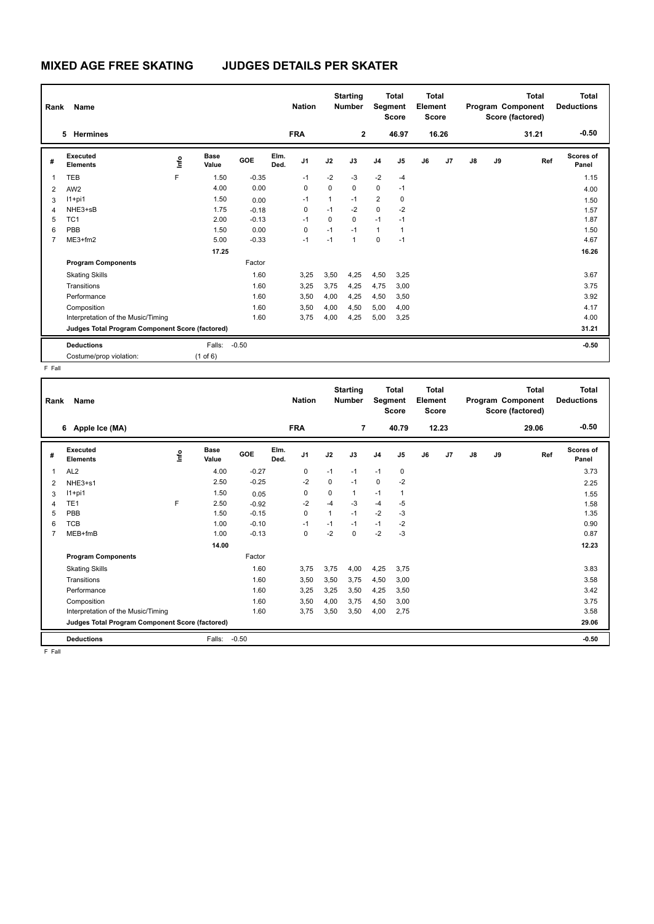| Rank           | Name                                            |                              |         |         |              | <b>Nation</b>  |              | <b>Starting</b><br><b>Number</b> |                | <b>Total</b><br>Segment<br><b>Score</b> | Total<br>Element<br><b>Score</b> |       |    |    | <b>Total</b><br>Program Component<br>Score (factored) | Total<br><b>Deductions</b> |
|----------------|-------------------------------------------------|------------------------------|---------|---------|--------------|----------------|--------------|----------------------------------|----------------|-----------------------------------------|----------------------------------|-------|----|----|-------------------------------------------------------|----------------------------|
|                | <b>Hermines</b><br>5.                           |                              |         |         |              | <b>FRA</b>     |              | $\mathbf{2}$                     |                | 46.97                                   |                                  | 16.26 |    |    | 31.21                                                 | $-0.50$                    |
| #              | Executed<br><b>Elements</b>                     | <b>Base</b><br>١nfo<br>Value | GOE     |         | Elm.<br>Ded. | J <sub>1</sub> | J2           | J3                               | J <sub>4</sub> | J5                                      | J6                               | J7    | J8 | J9 | Ref                                                   | <b>Scores of</b><br>Panel  |
| 1              | <b>TEB</b>                                      | F                            | 1.50    | $-0.35$ |              | $-1$           | $-2$         | $-3$                             | $-2$           | $-4$                                    |                                  |       |    |    |                                                       | 1.15                       |
| $\overline{2}$ | AW <sub>2</sub>                                 |                              | 4.00    | 0.00    |              | 0              | 0            | $\mathbf 0$                      | $\mathbf 0$    | $-1$                                    |                                  |       |    |    |                                                       | 4.00                       |
| 3              | $11+pi1$                                        |                              | 1.50    | 0.00    |              | $-1$           | $\mathbf{1}$ | $-1$                             | $\overline{2}$ | $\mathbf 0$                             |                                  |       |    |    |                                                       | 1.50                       |
| 4              | NHE3+sB                                         |                              | 1.75    | $-0.18$ |              | 0              | $-1$         | $-2$                             | 0              | $-2$                                    |                                  |       |    |    |                                                       | 1.57                       |
| 5              | TC <sub>1</sub>                                 |                              | 2.00    | $-0.13$ |              | $-1$           | $\Omega$     | $\Omega$                         | $-1$           | $-1$                                    |                                  |       |    |    |                                                       | 1.87                       |
| 6              | PBB                                             |                              | 1.50    | 0.00    |              | $\Omega$       | $-1$         | $-1$                             | $\mathbf{1}$   | 1                                       |                                  |       |    |    |                                                       | 1.50                       |
| 7              | $ME3+fm2$                                       |                              | 5.00    | $-0.33$ |              | $-1$           | $-1$         | $\overline{1}$                   | $\mathbf 0$    | $-1$                                    |                                  |       |    |    |                                                       | 4.67                       |
|                |                                                 |                              | 17.25   |         |              |                |              |                                  |                |                                         |                                  |       |    |    |                                                       | 16.26                      |
|                | <b>Program Components</b>                       |                              |         | Factor  |              |                |              |                                  |                |                                         |                                  |       |    |    |                                                       |                            |
|                | <b>Skating Skills</b>                           |                              |         | 1.60    |              | 3,25           | 3,50         | 4,25                             | 4,50           | 3,25                                    |                                  |       |    |    |                                                       | 3.67                       |
|                | Transitions                                     |                              |         | 1.60    |              | 3,25           | 3,75         | 4,25                             | 4,75           | 3,00                                    |                                  |       |    |    |                                                       | 3.75                       |
|                | Performance                                     |                              |         | 1.60    |              | 3,50           | 4,00         | 4,25                             | 4,50           | 3,50                                    |                                  |       |    |    |                                                       | 3.92                       |
|                | Composition                                     |                              |         | 1.60    |              | 3,50           | 4,00         | 4,50                             | 5,00           | 4,00                                    |                                  |       |    |    |                                                       | 4.17                       |
|                | Interpretation of the Music/Timing              |                              |         | 1.60    |              | 3,75           | 4,00         | 4,25                             | 5,00           | 3,25                                    |                                  |       |    |    |                                                       | 4.00                       |
|                | Judges Total Program Component Score (factored) |                              |         |         |              |                |              |                                  |                |                                         |                                  |       |    |    |                                                       | 31.21                      |
|                | <b>Deductions</b>                               | Falls:                       | $-0.50$ |         |              |                |              |                                  |                |                                         |                                  |       |    |    |                                                       | $-0.50$                    |
|                | Costume/prop violation:                         | $(1$ of $6)$                 |         |         |              |                |              |                                  |                |                                         |                                  |       |    |    |                                                       |                            |

F Fall

| Rank | Name                                            |      |                      |         |              | <b>Nation</b> |      | <b>Starting</b><br><b>Number</b> | Segment        | Total<br><b>Score</b> | <b>Total</b><br>Element<br><b>Score</b> |       |    |    | <b>Total</b><br>Program Component<br>Score (factored) | <b>Total</b><br><b>Deductions</b> |
|------|-------------------------------------------------|------|----------------------|---------|--------------|---------------|------|----------------------------------|----------------|-----------------------|-----------------------------------------|-------|----|----|-------------------------------------------------------|-----------------------------------|
|      | 6 Apple Ice (MA)                                |      |                      |         |              | <b>FRA</b>    |      | $\overline{7}$                   |                | 40.79                 |                                         | 12.23 |    |    | 29.06                                                 | $-0.50$                           |
| #    | Executed<br><b>Elements</b>                     | lnfo | <b>Base</b><br>Value | GOE     | Elm.<br>Ded. | J1            | J2   | J3                               | J <sub>4</sub> | J5                    | J6                                      | J7    | J8 | J9 | Ref                                                   | <b>Scores of</b><br>Panel         |
| 1    | AL <sub>2</sub>                                 |      | 4.00                 | $-0.27$ |              | 0             | $-1$ | $-1$                             | $-1$           | 0                     |                                         |       |    |    |                                                       | 3.73                              |
| 2    | NHE3+s1                                         |      | 2.50                 | $-0.25$ |              | $-2$          | 0    | $-1$                             | $\mathbf 0$    | $-2$                  |                                         |       |    |    |                                                       | 2.25                              |
| 3    | $11+pi1$                                        |      | 1.50                 | 0.05    |              | 0             | 0    | 1                                | $-1$           | 1                     |                                         |       |    |    |                                                       | 1.55                              |
| 4    | TE <sub>1</sub>                                 | F    | 2.50                 | $-0.92$ |              | -2            | $-4$ | $-3$                             | $-4$           | -5                    |                                         |       |    |    |                                                       | 1.58                              |
| 5    | PBB                                             |      | 1.50                 | $-0.15$ |              | $\mathbf 0$   | 1    | $-1$                             | $-2$           | $-3$                  |                                         |       |    |    |                                                       | 1.35                              |
| 6    | <b>TCB</b>                                      |      | 1.00                 | $-0.10$ |              | $-1$          | $-1$ | $-1$                             | $-1$           | -2                    |                                         |       |    |    |                                                       | 0.90                              |
| 7    | MEB+fmB                                         |      | 1.00                 | $-0.13$ |              | $\mathbf 0$   | $-2$ | $\Omega$                         | $-2$           | $-3$                  |                                         |       |    |    |                                                       | 0.87                              |
|      |                                                 |      | 14.00                |         |              |               |      |                                  |                |                       |                                         |       |    |    |                                                       | 12.23                             |
|      | <b>Program Components</b>                       |      |                      | Factor  |              |               |      |                                  |                |                       |                                         |       |    |    |                                                       |                                   |
|      | <b>Skating Skills</b>                           |      |                      | 1.60    |              | 3,75          | 3,75 | 4,00                             | 4,25           | 3,75                  |                                         |       |    |    |                                                       | 3.83                              |
|      | Transitions                                     |      |                      | 1.60    |              | 3,50          | 3,50 | 3,75                             | 4,50           | 3,00                  |                                         |       |    |    |                                                       | 3.58                              |
|      | Performance                                     |      |                      | 1.60    |              | 3,25          | 3,25 | 3,50                             | 4,25           | 3,50                  |                                         |       |    |    |                                                       | 3.42                              |
|      | Composition                                     |      |                      | 1.60    |              | 3,50          | 4,00 | 3,75                             | 4,50           | 3,00                  |                                         |       |    |    |                                                       | 3.75                              |
|      | Interpretation of the Music/Timing              |      |                      | 1.60    |              | 3,75          | 3,50 | 3,50                             | 4,00           | 2,75                  |                                         |       |    |    |                                                       | 3.58                              |
|      | Judges Total Program Component Score (factored) |      |                      |         |              |               |      |                                  |                |                       |                                         |       |    |    |                                                       | 29.06                             |
|      | <b>Deductions</b>                               |      | Falls:               | $-0.50$ |              |               |      |                                  |                |                       |                                         |       |    |    |                                                       | $-0.50$                           |

F Fall